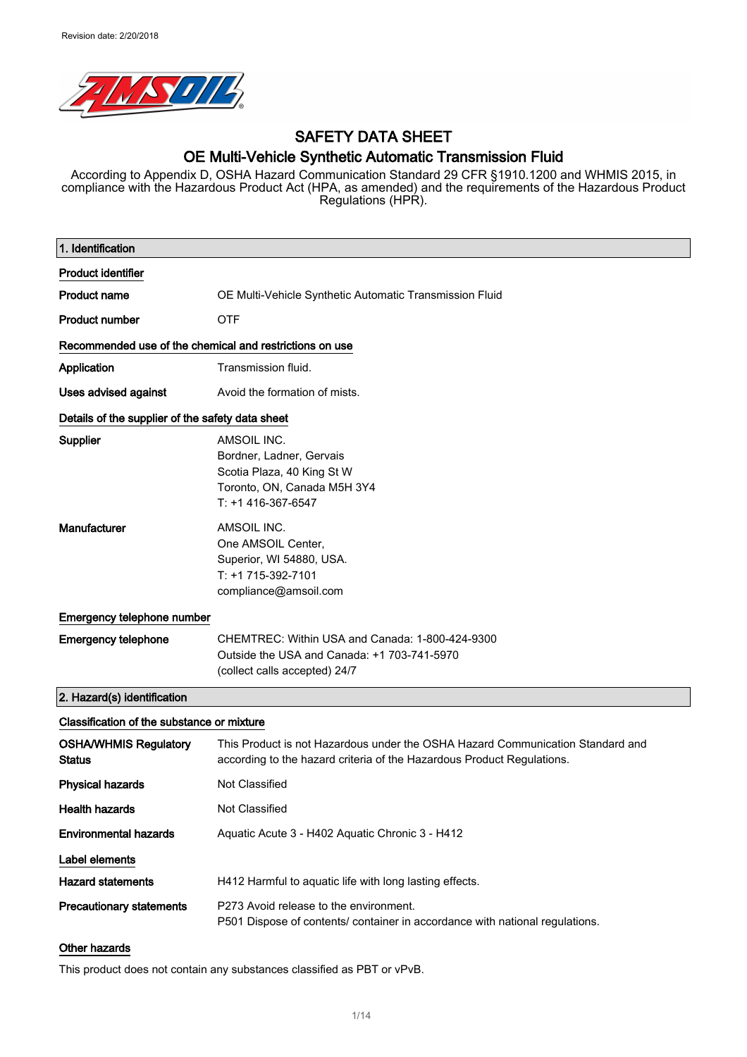

# SAFETY DATA SHEET

### OE Multi-Vehicle Synthetic Automatic Transmission Fluid

According to Appendix D, OSHA Hazard Communication Standard 29 CFR §1910.1200 and WHMIS 2015, in compliance with the Hazardous Product Act (HPA, as amended) and the requirements of the Hazardous Product Regulations (HPR).

| 1. Identification                                       |                                                                                                                                                          |
|---------------------------------------------------------|----------------------------------------------------------------------------------------------------------------------------------------------------------|
| <b>Product identifier</b>                               |                                                                                                                                                          |
| <b>Product name</b>                                     | OE Multi-Vehicle Synthetic Automatic Transmission Fluid                                                                                                  |
| <b>Product number</b>                                   | <b>OTF</b>                                                                                                                                               |
| Recommended use of the chemical and restrictions on use |                                                                                                                                                          |
| Application                                             | Transmission fluid.                                                                                                                                      |
| Uses advised against                                    | Avoid the formation of mists.                                                                                                                            |
| Details of the supplier of the safety data sheet        |                                                                                                                                                          |
| Supplier                                                | AMSOIL INC.<br>Bordner, Ladner, Gervais<br>Scotia Plaza, 40 King St W<br>Toronto, ON, Canada M5H 3Y4<br>T: +1 416-367-6547                               |
| Manufacturer                                            | AMSOIL INC.<br>One AMSOIL Center,<br>Superior, WI 54880, USA.<br>T: +1 715-392-7101<br>compliance@amsoil.com                                             |
| Emergency telephone number                              |                                                                                                                                                          |
| <b>Emergency telephone</b>                              | CHEMTREC: Within USA and Canada: 1-800-424-9300<br>Outside the USA and Canada: +1 703-741-5970<br>(collect calls accepted) 24/7                          |
| 2. Hazard(s) identification                             |                                                                                                                                                          |
| Classification of the substance or mixture              |                                                                                                                                                          |
| <b>OSHA/WHMIS Regulatory</b><br><b>Status</b>           | This Product is not Hazardous under the OSHA Hazard Communication Standard and<br>according to the hazard criteria of the Hazardous Product Regulations. |
| <b>Physical hazards</b>                                 | Not Classified                                                                                                                                           |
| <b>Health hazards</b>                                   | Not Classified                                                                                                                                           |
| <b>Environmental hazards</b>                            | Aquatic Acute 3 - H402 Aquatic Chronic 3 - H412                                                                                                          |
| Label elements                                          |                                                                                                                                                          |
| <b>Hazard statements</b>                                | H412 Harmful to aquatic life with long lasting effects.                                                                                                  |
| <b>Precautionary statements</b>                         | P273 Avoid release to the environment.<br>P501 Dispose of contents/ container in accordance with national regulations.                                   |
| <b>Other hazards</b>                                    |                                                                                                                                                          |

This product does not contain any substances classified as PBT or vPvB.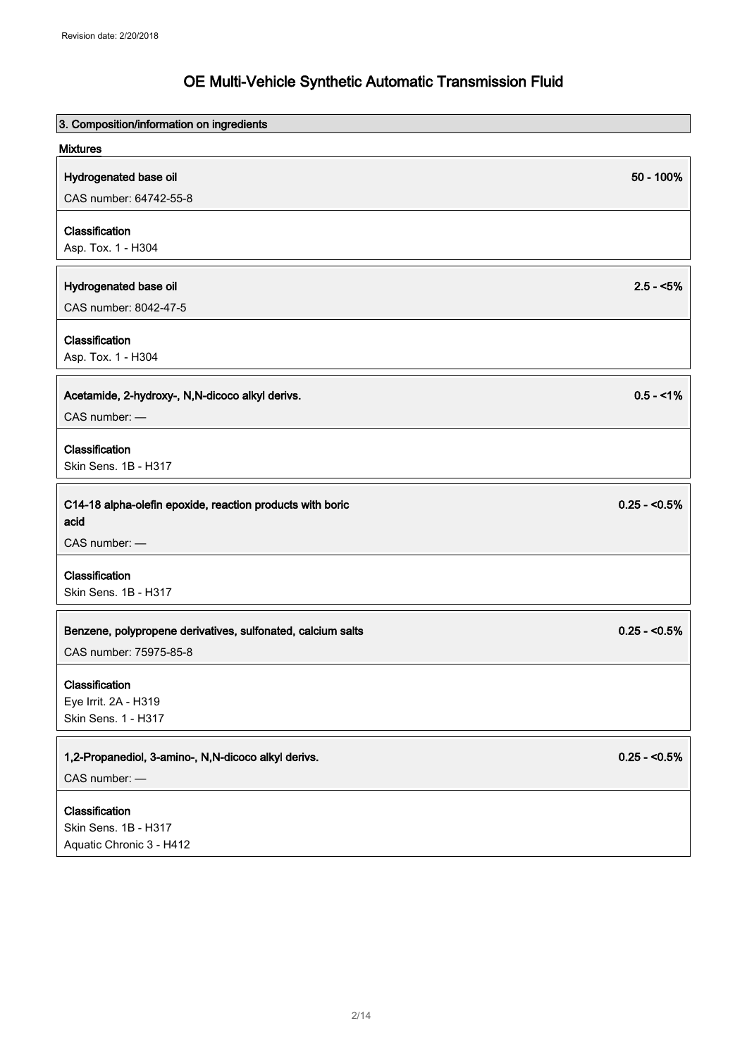| 3. Composition/information on ingredients                   |                |
|-------------------------------------------------------------|----------------|
| <b>Mixtures</b>                                             |                |
| Hydrogenated base oil                                       | 50 - 100%      |
| CAS number: 64742-55-8                                      |                |
| Classification                                              |                |
| Asp. Tox. 1 - H304                                          |                |
|                                                             |                |
| Hydrogenated base oil                                       | $2.5 - 5%$     |
| CAS number: 8042-47-5                                       |                |
| Classification                                              |                |
| Asp. Tox. 1 - H304                                          |                |
|                                                             |                |
| Acetamide, 2-hydroxy-, N,N-dicoco alkyl derivs.             | $0.5 - 1%$     |
| CAS number: -                                               |                |
| Classification                                              |                |
| Skin Sens. 1B - H317                                        |                |
| C14-18 alpha-olefin epoxide, reaction products with boric   | $0.25 - 5.5\%$ |
| acid                                                        |                |
| CAS number: -                                               |                |
| Classification                                              |                |
| Skin Sens. 1B - H317                                        |                |
|                                                             |                |
| Benzene, polypropene derivatives, sulfonated, calcium salts | $0.25 - 0.5%$  |
| CAS number: 75975-85-8                                      |                |
| Classification                                              |                |
| Eye Irrit. 2A - H319                                        |                |
| Skin Sens. 1 - H317                                         |                |
| 1,2-Propanediol, 3-amino-, N,N-dicoco alkyl derivs.         | $0.25 - 0.5\%$ |
| CAS number: -                                               |                |
|                                                             |                |
| Classification<br>Skin Sens. 1B - H317                      |                |
| Aquatic Chronic 3 - H412                                    |                |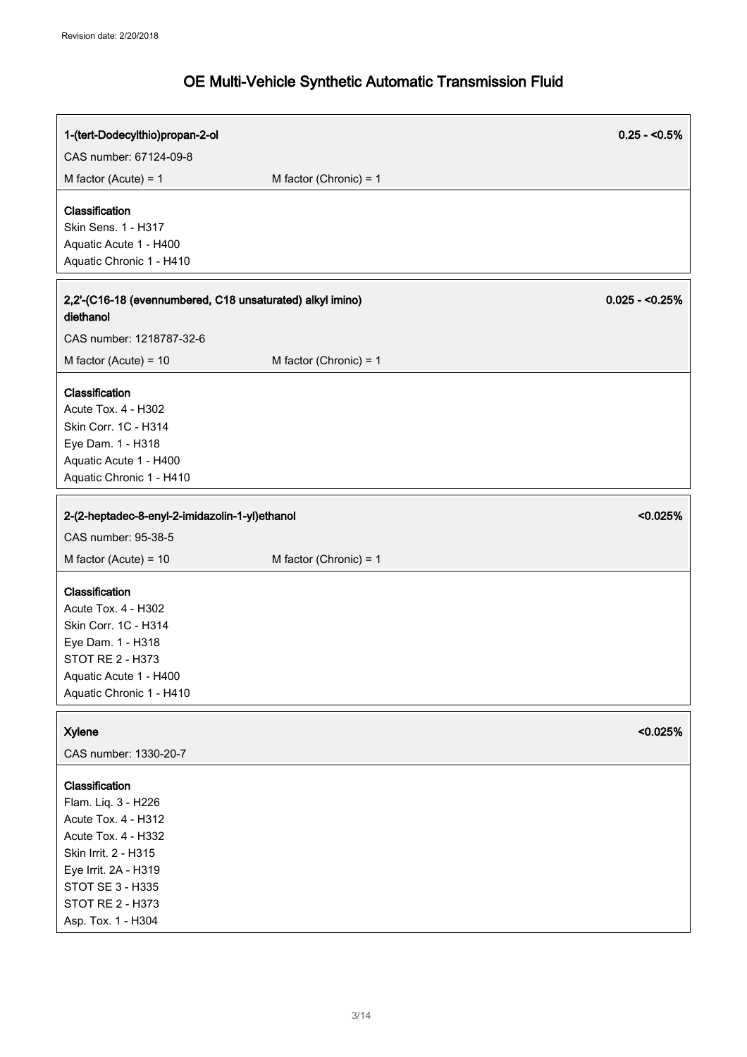| 1-(tert-Dodecylthio)propan-2-ol                                                                                                                                                                   |                          | $0.25 - 5.5\%$  |
|---------------------------------------------------------------------------------------------------------------------------------------------------------------------------------------------------|--------------------------|-----------------|
| CAS number: 67124-09-8                                                                                                                                                                            |                          |                 |
| M factor (Acute) = $1$                                                                                                                                                                            | M factor (Chronic) = $1$ |                 |
| Classification<br>Skin Sens. 1 - H317<br>Aquatic Acute 1 - H400<br>Aquatic Chronic 1 - H410                                                                                                       |                          |                 |
| 2,2'-(C16-18 (evennumbered, C18 unsaturated) alkyl imino)<br>diethanol                                                                                                                            |                          | $0.025 - 0.25%$ |
| CAS number: 1218787-32-6                                                                                                                                                                          |                          |                 |
| M factor (Acute) = $10$                                                                                                                                                                           | M factor (Chronic) = $1$ |                 |
| Classification<br>Acute Tox. 4 - H302<br>Skin Corr. 1C - H314<br>Eye Dam. 1 - H318<br>Aquatic Acute 1 - H400<br>Aquatic Chronic 1 - H410                                                          |                          |                 |
| 2-(2-heptadec-8-enyl-2-imidazolin-1-yl)ethanol                                                                                                                                                    |                          | < 0.025%        |
| CAS number: 95-38-5                                                                                                                                                                               |                          |                 |
| M factor (Acute) = $10$                                                                                                                                                                           | M factor (Chronic) = $1$ |                 |
| Classification<br>Acute Tox. 4 - H302<br>Skin Corr. 1C - H314<br>Eye Dam. 1 - H318<br>STOT RE 2 - H373<br>Aquatic Acute 1 - H400<br>Aquatic Chronic 1 - H410                                      |                          |                 |
| <b>Xylene</b><br>CAS number: 1330-20-7                                                                                                                                                            |                          | < 0.025%        |
| Classification<br>Flam. Liq. 3 - H226<br>Acute Tox. 4 - H312<br>Acute Tox. 4 - H332<br>Skin Irrit. 2 - H315<br>Eye Irrit. 2A - H319<br>STOT SE 3 - H335<br>STOT RE 2 - H373<br>Asp. Tox. 1 - H304 |                          |                 |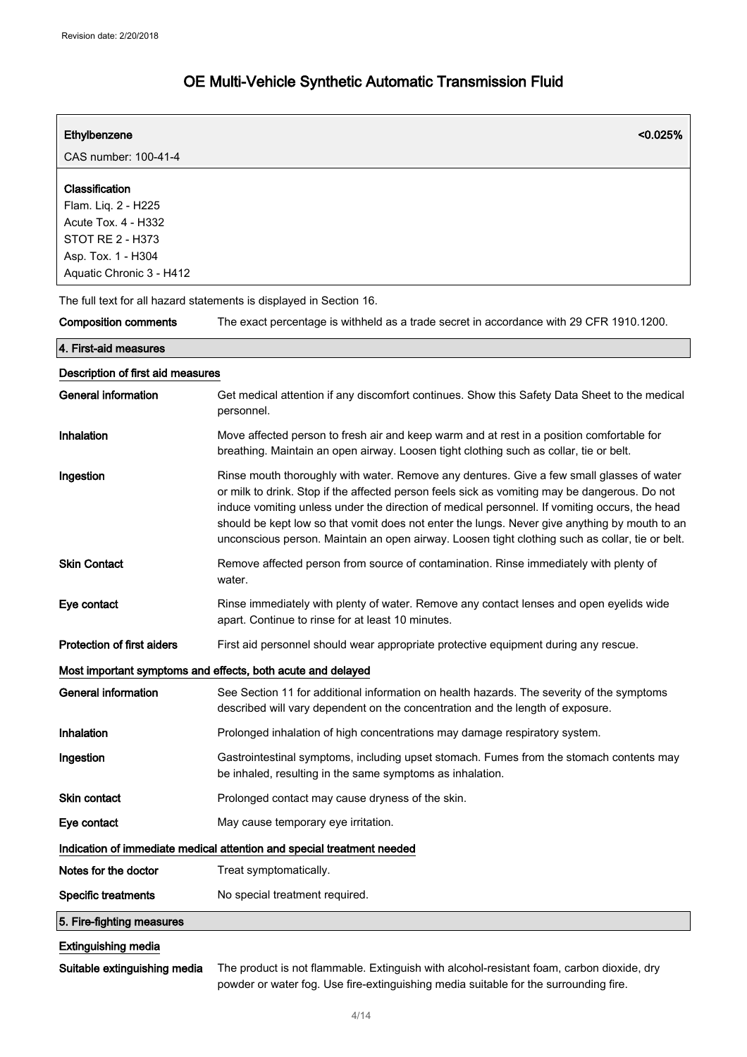| Ethylbenzene                                                                                                                              | < 0.025%                                                                                                                                                                                                                                                                                                                                                                                                                                                                                        |
|-------------------------------------------------------------------------------------------------------------------------------------------|-------------------------------------------------------------------------------------------------------------------------------------------------------------------------------------------------------------------------------------------------------------------------------------------------------------------------------------------------------------------------------------------------------------------------------------------------------------------------------------------------|
| CAS number: 100-41-4                                                                                                                      |                                                                                                                                                                                                                                                                                                                                                                                                                                                                                                 |
| Classification<br>Flam. Liq. 2 - H225<br>Acute Tox. 4 - H332<br><b>STOT RE 2 - H373</b><br>Asp. Tox. 1 - H304<br>Aquatic Chronic 3 - H412 |                                                                                                                                                                                                                                                                                                                                                                                                                                                                                                 |
|                                                                                                                                           | The full text for all hazard statements is displayed in Section 16.                                                                                                                                                                                                                                                                                                                                                                                                                             |
| <b>Composition comments</b>                                                                                                               | The exact percentage is withheld as a trade secret in accordance with 29 CFR 1910.1200.                                                                                                                                                                                                                                                                                                                                                                                                         |
| 4. First-aid measures                                                                                                                     |                                                                                                                                                                                                                                                                                                                                                                                                                                                                                                 |
| Description of first aid measures                                                                                                         |                                                                                                                                                                                                                                                                                                                                                                                                                                                                                                 |
| <b>General information</b>                                                                                                                | Get medical attention if any discomfort continues. Show this Safety Data Sheet to the medical<br>personnel.                                                                                                                                                                                                                                                                                                                                                                                     |
| Inhalation                                                                                                                                | Move affected person to fresh air and keep warm and at rest in a position comfortable for<br>breathing. Maintain an open airway. Loosen tight clothing such as collar, tie or belt.                                                                                                                                                                                                                                                                                                             |
| Ingestion                                                                                                                                 | Rinse mouth thoroughly with water. Remove any dentures. Give a few small glasses of water<br>or milk to drink. Stop if the affected person feels sick as vomiting may be dangerous. Do not<br>induce vomiting unless under the direction of medical personnel. If vomiting occurs, the head<br>should be kept low so that vomit does not enter the lungs. Never give anything by mouth to an<br>unconscious person. Maintain an open airway. Loosen tight clothing such as collar, tie or belt. |
| <b>Skin Contact</b>                                                                                                                       | Remove affected person from source of contamination. Rinse immediately with plenty of<br>water.                                                                                                                                                                                                                                                                                                                                                                                                 |
| Eye contact                                                                                                                               | Rinse immediately with plenty of water. Remove any contact lenses and open eyelids wide<br>apart. Continue to rinse for at least 10 minutes.                                                                                                                                                                                                                                                                                                                                                    |
| Protection of first aiders                                                                                                                | First aid personnel should wear appropriate protective equipment during any rescue.                                                                                                                                                                                                                                                                                                                                                                                                             |
|                                                                                                                                           | Most important symptoms and effects, both acute and delayed                                                                                                                                                                                                                                                                                                                                                                                                                                     |
| <b>General information</b>                                                                                                                | See Section 11 for additional information on health hazards. The severity of the symptoms<br>described will vary dependent on the concentration and the length of exposure.                                                                                                                                                                                                                                                                                                                     |
| Inhalation                                                                                                                                | Prolonged inhalation of high concentrations may damage respiratory system.                                                                                                                                                                                                                                                                                                                                                                                                                      |
| Ingestion                                                                                                                                 | Gastrointestinal symptoms, including upset stomach. Fumes from the stomach contents may<br>be inhaled, resulting in the same symptoms as inhalation.                                                                                                                                                                                                                                                                                                                                            |
| <b>Skin contact</b>                                                                                                                       | Prolonged contact may cause dryness of the skin.                                                                                                                                                                                                                                                                                                                                                                                                                                                |
| Eye contact                                                                                                                               | May cause temporary eye irritation.                                                                                                                                                                                                                                                                                                                                                                                                                                                             |
|                                                                                                                                           | Indication of immediate medical attention and special treatment needed                                                                                                                                                                                                                                                                                                                                                                                                                          |
| Notes for the doctor                                                                                                                      | Treat symptomatically.                                                                                                                                                                                                                                                                                                                                                                                                                                                                          |
| <b>Specific treatments</b>                                                                                                                | No special treatment required.                                                                                                                                                                                                                                                                                                                                                                                                                                                                  |
| 5. Fire-fighting measures                                                                                                                 |                                                                                                                                                                                                                                                                                                                                                                                                                                                                                                 |
| <b>Extinguishing media</b>                                                                                                                |                                                                                                                                                                                                                                                                                                                                                                                                                                                                                                 |

Suitable extinguishing media The product is not flammable. Extinguish with alcohol-resistant foam, carbon dioxide, dry powder or water fog. Use fire-extinguishing media suitable for the surrounding fire.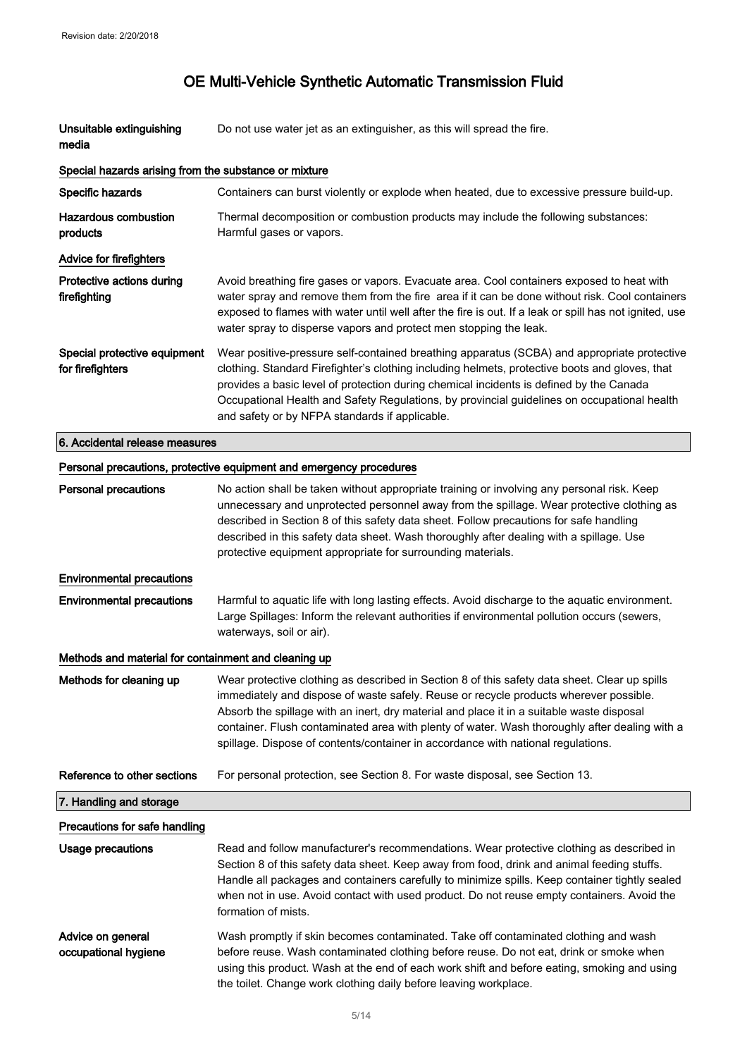| Unsuitable extinguishing<br>media                     | Do not use water jet as an extinguisher, as this will spread the fire.                                                                                                                                                                                                                                                                                                                                                                                                   |
|-------------------------------------------------------|--------------------------------------------------------------------------------------------------------------------------------------------------------------------------------------------------------------------------------------------------------------------------------------------------------------------------------------------------------------------------------------------------------------------------------------------------------------------------|
| Special hazards arising from the substance or mixture |                                                                                                                                                                                                                                                                                                                                                                                                                                                                          |
| Specific hazards                                      | Containers can burst violently or explode when heated, due to excessive pressure build-up.                                                                                                                                                                                                                                                                                                                                                                               |
| <b>Hazardous combustion</b><br>products               | Thermal decomposition or combustion products may include the following substances:<br>Harmful gases or vapors.                                                                                                                                                                                                                                                                                                                                                           |
| Advice for firefighters                               |                                                                                                                                                                                                                                                                                                                                                                                                                                                                          |
| Protective actions during<br>firefighting             | Avoid breathing fire gases or vapors. Evacuate area. Cool containers exposed to heat with<br>water spray and remove them from the fire area if it can be done without risk. Cool containers<br>exposed to flames with water until well after the fire is out. If a leak or spill has not ignited, use<br>water spray to disperse vapors and protect men stopping the leak.                                                                                               |
| Special protective equipment<br>for firefighters      | Wear positive-pressure self-contained breathing apparatus (SCBA) and appropriate protective<br>clothing. Standard Firefighter's clothing including helmets, protective boots and gloves, that<br>provides a basic level of protection during chemical incidents is defined by the Canada<br>Occupational Health and Safety Regulations, by provincial guidelines on occupational health<br>and safety or by NFPA standards if applicable.                                |
| 6. Accidental release measures                        |                                                                                                                                                                                                                                                                                                                                                                                                                                                                          |
|                                                       | Personal precautions, protective equipment and emergency procedures                                                                                                                                                                                                                                                                                                                                                                                                      |
| <b>Personal precautions</b>                           | No action shall be taken without appropriate training or involving any personal risk. Keep<br>unnecessary and unprotected personnel away from the spillage. Wear protective clothing as<br>described in Section 8 of this safety data sheet. Follow precautions for safe handling<br>described in this safety data sheet. Wash thoroughly after dealing with a spillage. Use<br>protective equipment appropriate for surrounding materials.                              |
| <b>Environmental precautions</b>                      |                                                                                                                                                                                                                                                                                                                                                                                                                                                                          |
| <b>Environmental precautions</b>                      | Harmful to aquatic life with long lasting effects. Avoid discharge to the aquatic environment.<br>Large Spillages: Inform the relevant authorities if environmental pollution occurs (sewers,<br>waterways, soil or air).                                                                                                                                                                                                                                                |
| Methods and material for containment and cleaning up  |                                                                                                                                                                                                                                                                                                                                                                                                                                                                          |
| Methods for cleaning up                               | Wear protective clothing as described in Section 8 of this safety data sheet. Clear up spills<br>immediately and dispose of waste safely. Reuse or recycle products wherever possible.<br>Absorb the spillage with an inert, dry material and place it in a suitable waste disposal<br>container. Flush contaminated area with plenty of water. Wash thoroughly after dealing with a<br>spillage. Dispose of contents/container in accordance with national regulations. |
| Reference to other sections                           | For personal protection, see Section 8. For waste disposal, see Section 13.                                                                                                                                                                                                                                                                                                                                                                                              |
| 7. Handling and storage                               |                                                                                                                                                                                                                                                                                                                                                                                                                                                                          |
| Precautions for safe handling                         |                                                                                                                                                                                                                                                                                                                                                                                                                                                                          |
| Usage precautions                                     | Read and follow manufacturer's recommendations. Wear protective clothing as described in<br>Section 8 of this safety data sheet. Keep away from food, drink and animal feeding stuffs.<br>Handle all packages and containers carefully to minimize spills. Keep container tightly sealed<br>when not in use. Avoid contact with used product. Do not reuse empty containers. Avoid the<br>formation of mists.                                                            |
| Advice on general<br>occupational hygiene             | Wash promptly if skin becomes contaminated. Take off contaminated clothing and wash<br>before reuse. Wash contaminated clothing before reuse. Do not eat, drink or smoke when<br>using this product. Wash at the end of each work shift and before eating, smoking and using<br>the toilet. Change work clothing daily before leaving workplace.                                                                                                                         |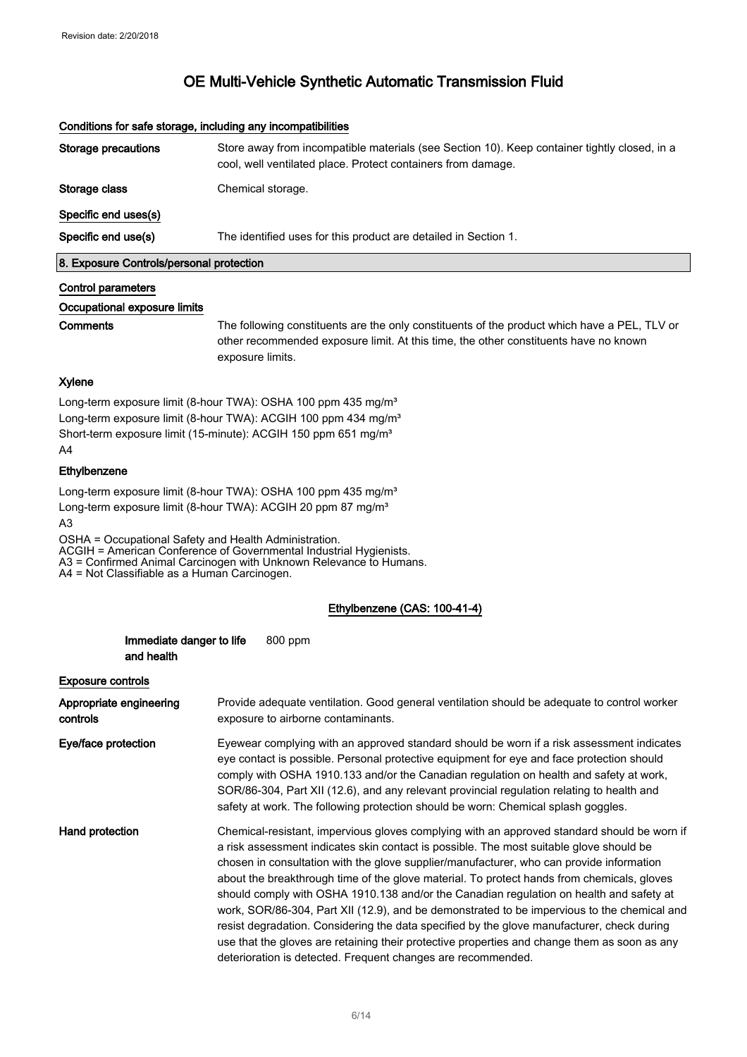|                                          | <u>aanamana isi aana ammadal mamaania anil maanibaanamaa</u>                                                                                                 |
|------------------------------------------|--------------------------------------------------------------------------------------------------------------------------------------------------------------|
| Storage precautions                      | Store away from incompatible materials (see Section 10). Keep container tightly closed, in a<br>cool, well ventilated place. Protect containers from damage. |
| Storage class                            | Chemical storage.                                                                                                                                            |
| Specific end uses(s)                     |                                                                                                                                                              |
| Specific end use(s)                      | The identified uses for this product are detailed in Section 1.                                                                                              |
| 8. Exposure Controls/personal protection |                                                                                                                                                              |

#### Conditions for safe storage, including any incompatibilities

#### Control parameters

Occupational exposure limits

Comments The following constituents are the only constituents of the product which have a PEL, TLV or other recommended exposure limit. At this time, the other constituents have no known exposure limits.

#### Xylene

Long-term exposure limit (8-hour TWA): OSHA 100 ppm 435 mg/m<sup>3</sup> Long-term exposure limit (8-hour TWA): ACGIH 100 ppm 434 mg/m<sup>3</sup> Short-term exposure limit (15-minute): ACGIH 150 ppm 651 mg/m<sup>3</sup> A4

### Ethylbenzene

Long-term exposure limit (8-hour TWA): OSHA 100 ppm 435 mg/m<sup>3</sup> Long-term exposure limit (8-hour TWA): ACGIH 20 ppm 87 mg/m<sup>3</sup>

A3

OSHA = Occupational Safety and Health Administration. ACGIH = American Conference of Governmental Industrial Hygienists. A3 = Confirmed Animal Carcinogen with Unknown Relevance to Humans. A4 = Not Classifiable as a Human Carcinogen.

#### Ethylbenzene (CAS: 100-41-4)

|                                     | Immediate danger to life<br>and health |  | 800 ppm                                                                                                                                                                                                                                                                                                                                                                                                                                                                                                                                                                                                                                                                                                                                                                                                                                  |
|-------------------------------------|----------------------------------------|--|------------------------------------------------------------------------------------------------------------------------------------------------------------------------------------------------------------------------------------------------------------------------------------------------------------------------------------------------------------------------------------------------------------------------------------------------------------------------------------------------------------------------------------------------------------------------------------------------------------------------------------------------------------------------------------------------------------------------------------------------------------------------------------------------------------------------------------------|
|                                     | <b>Exposure controls</b>               |  |                                                                                                                                                                                                                                                                                                                                                                                                                                                                                                                                                                                                                                                                                                                                                                                                                                          |
| Appropriate engineering<br>controls |                                        |  | Provide adequate ventilation. Good general ventilation should be adequate to control worker<br>exposure to airborne contaminants.                                                                                                                                                                                                                                                                                                                                                                                                                                                                                                                                                                                                                                                                                                        |
| Eye/face protection                 |                                        |  | Eyewear complying with an approved standard should be worn if a risk assessment indicates<br>eye contact is possible. Personal protective equipment for eye and face protection should<br>comply with OSHA 1910.133 and/or the Canadian regulation on health and safety at work,<br>SOR/86-304, Part XII (12.6), and any relevant provincial regulation relating to health and<br>safety at work. The following protection should be worn: Chemical splash goggles.                                                                                                                                                                                                                                                                                                                                                                      |
| Hand protection                     |                                        |  | Chemical-resistant, impervious gloves complying with an approved standard should be worn if<br>a risk assessment indicates skin contact is possible. The most suitable glove should be<br>chosen in consultation with the glove supplier/manufacturer, who can provide information<br>about the breakthrough time of the glove material. To protect hands from chemicals, gloves<br>should comply with OSHA 1910.138 and/or the Canadian regulation on health and safety at<br>work, SOR/86-304, Part XII (12.9), and be demonstrated to be impervious to the chemical and<br>resist degradation. Considering the data specified by the glove manufacturer, check during<br>use that the gloves are retaining their protective properties and change them as soon as any<br>deterioration is detected. Frequent changes are recommended. |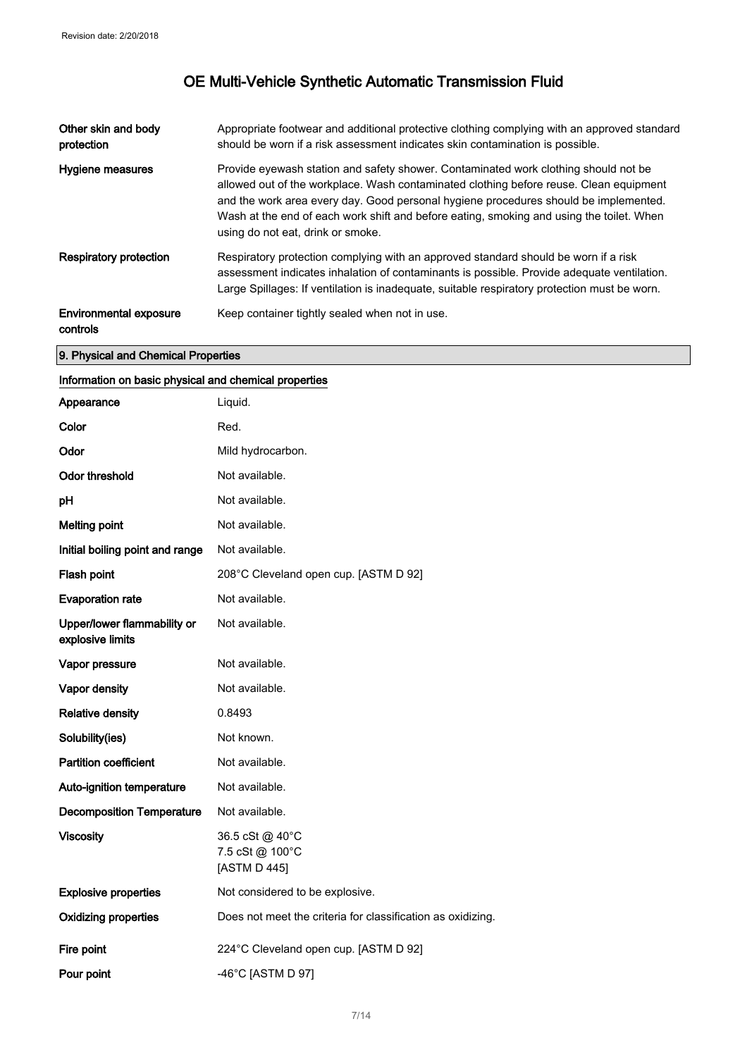| Other skin and body<br>protection         | Appropriate footwear and additional protective clothing complying with an approved standard<br>should be worn if a risk assessment indicates skin contamination is possible.                                                                                                                                                                                                                           |
|-------------------------------------------|--------------------------------------------------------------------------------------------------------------------------------------------------------------------------------------------------------------------------------------------------------------------------------------------------------------------------------------------------------------------------------------------------------|
| Hygiene measures                          | Provide eyewash station and safety shower. Contaminated work clothing should not be<br>allowed out of the workplace. Wash contaminated clothing before reuse. Clean equipment<br>and the work area every day. Good personal hygiene procedures should be implemented.<br>Wash at the end of each work shift and before eating, smoking and using the toilet. When<br>using do not eat, drink or smoke. |
| Respiratory protection                    | Respiratory protection complying with an approved standard should be worn if a risk<br>assessment indicates inhalation of contaminants is possible. Provide adequate ventilation.<br>Large Spillages: If ventilation is inadequate, suitable respiratory protection must be worn.                                                                                                                      |
| <b>Environmental exposure</b><br>controls | Keep container tightly sealed when not in use.                                                                                                                                                                                                                                                                                                                                                         |

### 9. Physical and Chemical Properties

### Information on basic physical and chemical properties

| Appearance                                      | Liquid.                                                     |
|-------------------------------------------------|-------------------------------------------------------------|
| Color                                           | Red.                                                        |
| Odor                                            | Mild hydrocarbon.                                           |
| <b>Odor threshold</b>                           | Not available.                                              |
| pH                                              | Not available.                                              |
| <b>Melting point</b>                            | Not available.                                              |
| Initial boiling point and range                 | Not available.                                              |
| Flash point                                     | 208°C Cleveland open cup. [ASTM D 92]                       |
| <b>Evaporation rate</b>                         | Not available.                                              |
| Upper/lower flammability or<br>explosive limits | Not available.                                              |
| Vapor pressure                                  | Not available.                                              |
| Vapor density                                   | Not available.                                              |
| <b>Relative density</b>                         | 0.8493                                                      |
| Solubility(ies)                                 | Not known.                                                  |
| <b>Partition coefficient</b>                    | Not available.                                              |
| Auto-ignition temperature                       | Not available.                                              |
| <b>Decomposition Temperature</b>                | Not available.                                              |
| <b>Viscosity</b>                                | 36.5 cSt @ 40°C<br>7.5 cSt @ 100°C<br>[ASTM D 445]          |
| <b>Explosive properties</b>                     | Not considered to be explosive.                             |
| <b>Oxidizing properties</b>                     | Does not meet the criteria for classification as oxidizing. |
| Fire point                                      | 224°C Cleveland open cup. [ASTM D 92]                       |
| Pour point                                      | -46°C [ASTM D 97]                                           |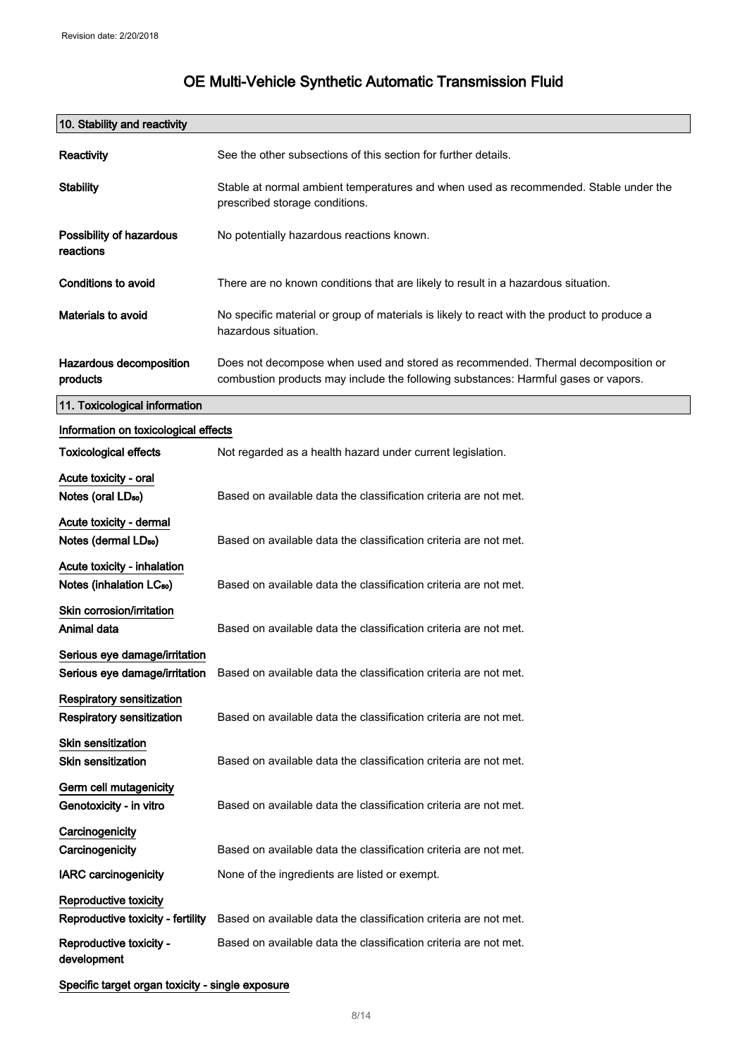| 10. Stability and reactivity                                         |                                                                                                                                                                        |
|----------------------------------------------------------------------|------------------------------------------------------------------------------------------------------------------------------------------------------------------------|
| Reactivity                                                           | See the other subsections of this section for further details.                                                                                                         |
| <b>Stability</b>                                                     | Stable at normal ambient temperatures and when used as recommended. Stable under the<br>prescribed storage conditions.                                                 |
| Possibility of hazardous<br>reactions                                | No potentially hazardous reactions known.                                                                                                                              |
| <b>Conditions to avoid</b>                                           | There are no known conditions that are likely to result in a hazardous situation.                                                                                      |
| <b>Materials to avoid</b>                                            | No specific material or group of materials is likely to react with the product to produce a<br>hazardous situation.                                                    |
| Hazardous decomposition<br>products                                  | Does not decompose when used and stored as recommended. Thermal decomposition or<br>combustion products may include the following substances: Harmful gases or vapors. |
| 11. Toxicological information                                        |                                                                                                                                                                        |
| Information on toxicological effects                                 |                                                                                                                                                                        |
| <b>Toxicological effects</b>                                         | Not regarded as a health hazard under current legislation.                                                                                                             |
| Acute toxicity - oral<br>Notes (oral LD <sub>50</sub> )              | Based on available data the classification criteria are not met.                                                                                                       |
| Acute toxicity - dermal<br>Notes (dermal LD <sub>50</sub> )          | Based on available data the classification criteria are not met.                                                                                                       |
| Acute toxicity - inhalation<br>Notes (inhalation LC <sub>50</sub> )  | Based on available data the classification criteria are not met.                                                                                                       |
| Skin corrosion/irritation<br>Animal data                             | Based on available data the classification criteria are not met.                                                                                                       |
| Serious eye damage/irritation<br>Serious eye damage/irritation       | Based on available data the classification criteria are not met.                                                                                                       |
| <b>Respiratory sensitization</b><br><b>Respiratory sensitization</b> | Based on available data the classification criteria are not met.                                                                                                       |
| <b>Skin sensitization</b><br><b>Skin sensitization</b>               | Based on available data the classification criteria are not met.                                                                                                       |
| Germ cell mutagenicity<br>Genotoxicity - in vitro                    | Based on available data the classification criteria are not met.                                                                                                       |
| Carcinogenicity<br>Carcinogenicity                                   | Based on available data the classification criteria are not met.                                                                                                       |
| <b>IARC</b> carcinogenicity                                          | None of the ingredients are listed or exempt.                                                                                                                          |
| Reproductive toxicity<br>Reproductive toxicity - fertility           | Based on available data the classification criteria are not met.                                                                                                       |
| Reproductive toxicity -<br>development                               | Based on available data the classification criteria are not met.                                                                                                       |
| Specific target organ toxicity - single exposure                     |                                                                                                                                                                        |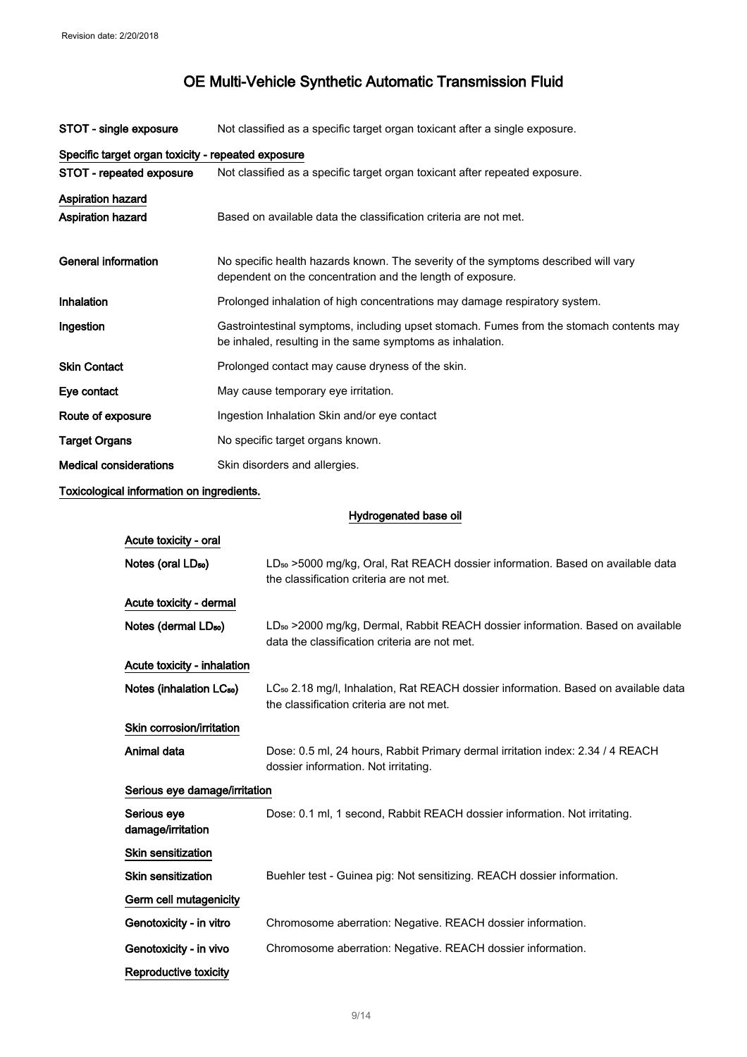| STOT - single exposure        | Not classified as a specific target organ toxicant after a single exposure.                                                                          |  |  |
|-------------------------------|------------------------------------------------------------------------------------------------------------------------------------------------------|--|--|
|                               | Specific target organ toxicity - repeated exposure                                                                                                   |  |  |
| STOT - repeated exposure      | Not classified as a specific target organ toxicant after repeated exposure.                                                                          |  |  |
| <b>Aspiration hazard</b>      |                                                                                                                                                      |  |  |
| <b>Aspiration hazard</b>      | Based on available data the classification criteria are not met.                                                                                     |  |  |
| General information           | No specific health hazards known. The severity of the symptoms described will vary<br>dependent on the concentration and the length of exposure.     |  |  |
| Inhalation                    | Prolonged inhalation of high concentrations may damage respiratory system.                                                                           |  |  |
| Ingestion                     | Gastrointestinal symptoms, including upset stomach. Fumes from the stomach contents may<br>be inhaled, resulting in the same symptoms as inhalation. |  |  |
| <b>Skin Contact</b>           | Prolonged contact may cause dryness of the skin.                                                                                                     |  |  |
| Eye contact                   | May cause temporary eye irritation.                                                                                                                  |  |  |
| Route of exposure             | Ingestion Inhalation Skin and/or eye contact                                                                                                         |  |  |
| <b>Target Organs</b>          | No specific target organs known.                                                                                                                     |  |  |
| <b>Medical considerations</b> | Skin disorders and allergies.                                                                                                                        |  |  |

Toxicological information on ingredients.

Hydrogenated base oil

| Acute toxicity - oral                |                                                                                                                                             |  |
|--------------------------------------|---------------------------------------------------------------------------------------------------------------------------------------------|--|
| Notes (oral $LD_{50}$ )              | LD <sub>so</sub> >5000 mg/kg, Oral, Rat REACH dossier information. Based on available data<br>the classification criteria are not met.      |  |
| Acute toxicity - dermal              |                                                                                                                                             |  |
| Notes (dermal LD <sub>50</sub> )     | LD <sub>so</sub> >2000 mg/kg, Dermal, Rabbit REACH dossier information. Based on available<br>data the classification criteria are not met. |  |
| Acute toxicity - inhalation          |                                                                                                                                             |  |
| Notes (inhalation LC <sub>50</sub> ) | LC <sub>so</sub> 2.18 mg/l, Inhalation, Rat REACH dossier information. Based on available data<br>the classification criteria are not met.  |  |
| Skin corrosion/irritation            |                                                                                                                                             |  |
| Animal data                          | Dose: 0.5 ml, 24 hours, Rabbit Primary dermal irritation index: 2.34 / 4 REACH<br>dossier information. Not irritating.                      |  |
| Serious eye damage/irritation        |                                                                                                                                             |  |
| Serious eve<br>damage/irritation     | Dose: 0.1 ml, 1 second, Rabbit REACH dossier information. Not irritating.                                                                   |  |
| <b>Skin sensitization</b>            |                                                                                                                                             |  |
| <b>Skin sensitization</b>            | Buehler test - Guinea pig: Not sensitizing. REACH dossier information.                                                                      |  |
| Germ cell mutagenicity               |                                                                                                                                             |  |
| Genotoxicity - in vitro              | Chromosome aberration: Negative. REACH dossier information.                                                                                 |  |
| Genotoxicity - in vivo               | Chromosome aberration: Negative. REACH dossier information.                                                                                 |  |
| Reproductive toxicity                |                                                                                                                                             |  |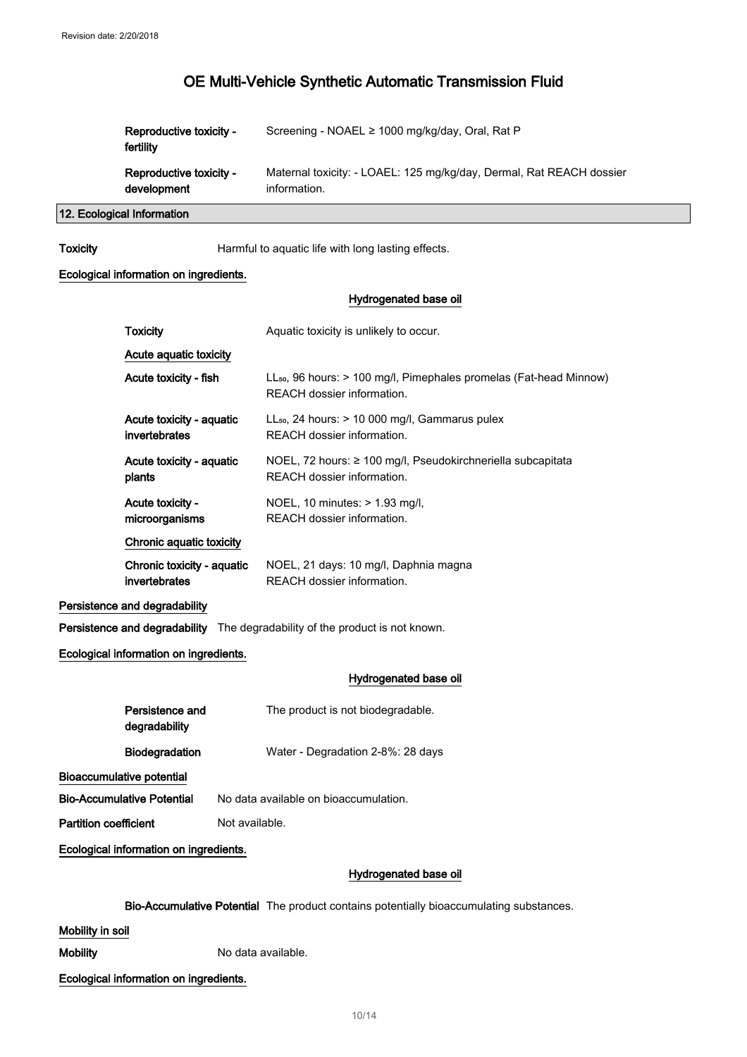| Reproductive toxicity -<br>fertility | Screening - NOAEL ≥ 1000 mg/kg/day, Oral, Rat P                      |
|--------------------------------------|----------------------------------------------------------------------|
| Reproductive toxicity -              | Maternal toxicity: - LOAEL: 125 mg/kg/day, Dermal, Rat REACH dossier |
| development                          | information.                                                         |

12. Ecological Information

Toxicity **Harmful to aquatic life with long lasting effects.** 

#### Ecological information on ingredients.

#### Hydrogenated base oil

| <b>Toxicity</b>                                |  | Aquatic toxicity is unlikely to occur.                                                                       |
|------------------------------------------------|--|--------------------------------------------------------------------------------------------------------------|
| Acute aquatic toxicity                         |  |                                                                                                              |
| Acute toxicity - fish                          |  | LL <sub>50</sub> , 96 hours: > 100 mg/l, Pimephales promelas (Fat-head Minnow)<br>REACH dossier information. |
| Acute toxicity - aquatic<br>invertebrates      |  | LL <sub>50</sub> , 24 hours: > 10 000 mg/l, Gammarus pulex<br>REACH dossier information.                     |
| Acute toxicity - aquatic<br>plants             |  | NOEL, 72 hours: ≥ 100 mg/l, Pseudokirchneriella subcapitata<br>REACH dossier information.                    |
| Acute toxicity -<br>microorganisms             |  | NOEL, 10 minutes: > 1.93 mg/l,<br>REACH dossier information.                                                 |
| <b>Chronic aquatic toxicity</b>                |  |                                                                                                              |
| Chronic toxicity - aquatic<br>invertebrates    |  | NOEL, 21 days: 10 mg/l, Daphnia magna<br>REACH dossier information.                                          |
| Persistence and degradability                  |  |                                                                                                              |
|                                                |  | Persistence and degradability The degradability of the product is not known.                                 |
| Ecological information on ingredients.         |  |                                                                                                              |
|                                                |  | Hydrogenated base oil                                                                                        |
| Persistence and<br>degradability               |  | The product is not biodegradable.                                                                            |
| <b>Biodegradation</b>                          |  | Water - Degradation 2-8%: 28 days                                                                            |
| <b>Bioaccumulative potential</b>               |  |                                                                                                              |
| <b>Bio-Accumulative Potential</b>              |  | No data available on bioaccumulation.                                                                        |
| <b>Partition coefficient</b><br>Not available. |  |                                                                                                              |

Ecological information on ingredients.

#### Hydrogenated base oil

Bio-Accumulative Potential The product contains potentially bioaccumulating substances.

#### Mobility in soil

Mobility Mobility No data available.

#### Ecological information on ingredients.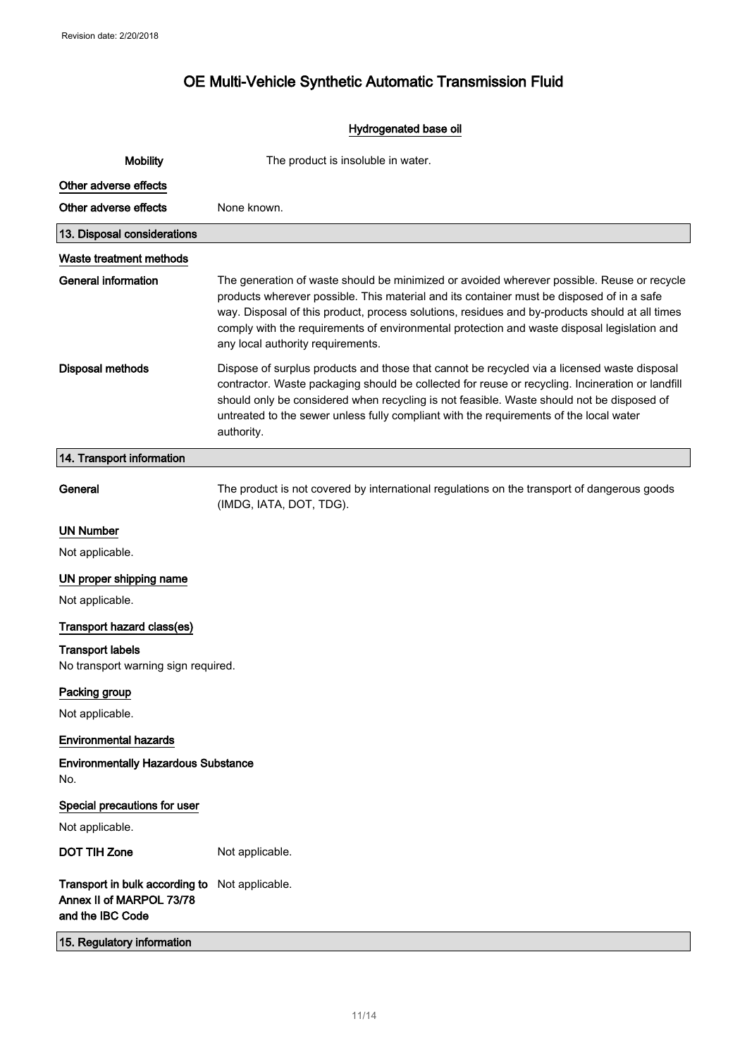### Hydrogenated base oil

| <b>Mobility</b>                                                                | The product is insoluble in water.                                                                                                                                                                                                                                                                                                                                                                                            |  |
|--------------------------------------------------------------------------------|-------------------------------------------------------------------------------------------------------------------------------------------------------------------------------------------------------------------------------------------------------------------------------------------------------------------------------------------------------------------------------------------------------------------------------|--|
| Other adverse effects                                                          |                                                                                                                                                                                                                                                                                                                                                                                                                               |  |
| Other adverse effects                                                          | None known.                                                                                                                                                                                                                                                                                                                                                                                                                   |  |
| 13. Disposal considerations                                                    |                                                                                                                                                                                                                                                                                                                                                                                                                               |  |
| Waste treatment methods                                                        |                                                                                                                                                                                                                                                                                                                                                                                                                               |  |
| <b>General information</b>                                                     | The generation of waste should be minimized or avoided wherever possible. Reuse or recycle<br>products wherever possible. This material and its container must be disposed of in a safe<br>way. Disposal of this product, process solutions, residues and by-products should at all times<br>comply with the requirements of environmental protection and waste disposal legislation and<br>any local authority requirements. |  |
| <b>Disposal methods</b>                                                        | Dispose of surplus products and those that cannot be recycled via a licensed waste disposal<br>contractor. Waste packaging should be collected for reuse or recycling. Incineration or landfill<br>should only be considered when recycling is not feasible. Waste should not be disposed of<br>untreated to the sewer unless fully compliant with the requirements of the local water<br>authority.                          |  |
| 14. Transport information                                                      |                                                                                                                                                                                                                                                                                                                                                                                                                               |  |
| General                                                                        | The product is not covered by international regulations on the transport of dangerous goods<br>(IMDG, IATA, DOT, TDG).                                                                                                                                                                                                                                                                                                        |  |
| <b>UN Number</b>                                                               |                                                                                                                                                                                                                                                                                                                                                                                                                               |  |
| Not applicable.                                                                |                                                                                                                                                                                                                                                                                                                                                                                                                               |  |
| UN proper shipping name                                                        |                                                                                                                                                                                                                                                                                                                                                                                                                               |  |
| Not applicable.                                                                |                                                                                                                                                                                                                                                                                                                                                                                                                               |  |
| Transport hazard class(es)                                                     |                                                                                                                                                                                                                                                                                                                                                                                                                               |  |
| <b>Transport labels</b><br>No transport warning sign required.                 |                                                                                                                                                                                                                                                                                                                                                                                                                               |  |
| Packing group                                                                  |                                                                                                                                                                                                                                                                                                                                                                                                                               |  |
| Not applicable.                                                                |                                                                                                                                                                                                                                                                                                                                                                                                                               |  |
| <b>Environmental hazards</b>                                                   |                                                                                                                                                                                                                                                                                                                                                                                                                               |  |
| <b>Environmentally Hazardous Substance</b><br>No.                              |                                                                                                                                                                                                                                                                                                                                                                                                                               |  |
| Special precautions for user                                                   |                                                                                                                                                                                                                                                                                                                                                                                                                               |  |
| Not applicable.                                                                |                                                                                                                                                                                                                                                                                                                                                                                                                               |  |
| <b>DOT TIH Zone</b>                                                            | Not applicable.                                                                                                                                                                                                                                                                                                                                                                                                               |  |
| Transport in bulk according to<br>Annex II of MARPOL 73/78<br>and the IBC Code | Not applicable.                                                                                                                                                                                                                                                                                                                                                                                                               |  |
| 15. Regulatory information                                                     |                                                                                                                                                                                                                                                                                                                                                                                                                               |  |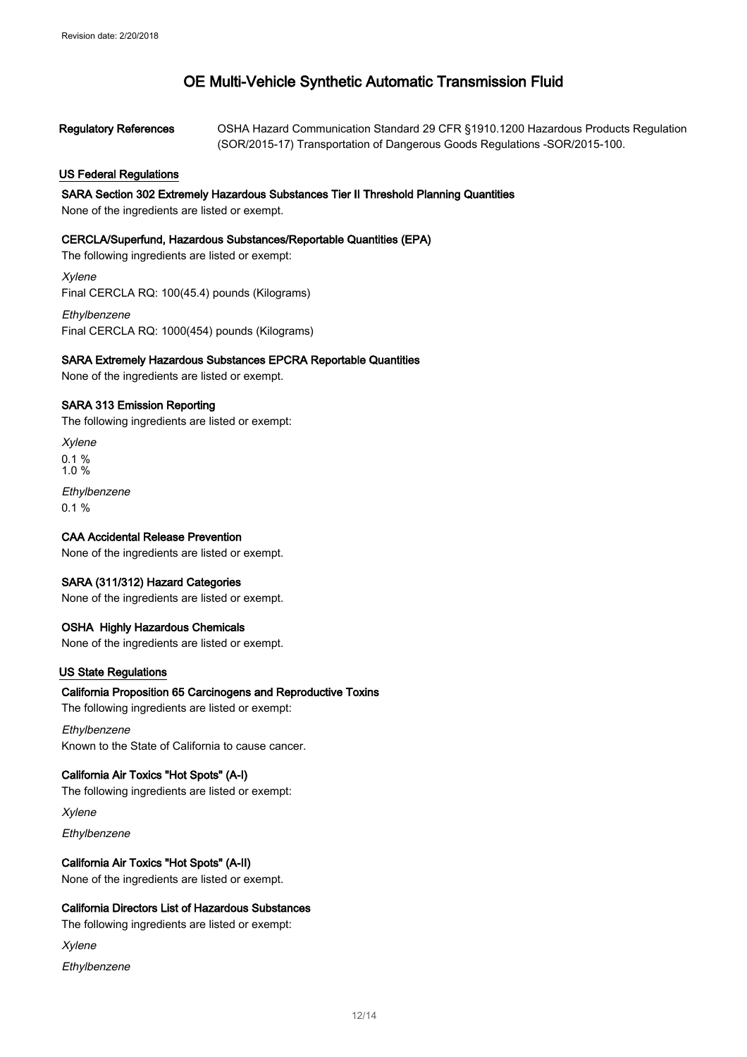| <b>Regulatory References</b> | OSHA Hazard Communication Standard 29 CFR §1910.1200 Hazardous Products Regulation |
|------------------------------|------------------------------------------------------------------------------------|
|                              | (SOR/2015-17) Transportation of Dangerous Goods Regulations - SOR/2015-100.        |

#### US Federal Regulations

#### SARA Section 302 Extremely Hazardous Substances Tier II Threshold Planning Quantities

None of the ingredients are listed or exempt.

#### CERCLA/Superfund, Hazardous Substances/Reportable Quantities (EPA)

The following ingredients are listed or exempt:

Xylene Final CERCLA RQ: 100(45.4) pounds (Kilograms)

**Ethylbenzene** Final CERCLA RQ: 1000(454) pounds (Kilograms)

#### SARA Extremely Hazardous Substances EPCRA Reportable Quantities

None of the ingredients are listed or exempt.

#### SARA 313 Emission Reporting

The following ingredients are listed or exempt:

Xylene 0.1 % 1.0 %

**Ethylbenzene** 0.1 %

#### CAA Accidental Release Prevention

None of the ingredients are listed or exempt.

#### SARA (311/312) Hazard Categories

None of the ingredients are listed or exempt.

#### OSHA Highly Hazardous Chemicals

None of the ingredients are listed or exempt.

#### US State Regulations

#### California Proposition 65 Carcinogens and Reproductive Toxins

The following ingredients are listed or exempt:

#### Ethylbenzene

Known to the State of California to cause cancer.

#### California Air Toxics "Hot Spots" (A-I)

The following ingredients are listed or exempt:

Xylene

Ethylbenzene

#### California Air Toxics "Hot Spots" (A-II)

None of the ingredients are listed or exempt.

#### California Directors List of Hazardous Substances

The following ingredients are listed or exempt:

Xylene

**Ethylbenzene**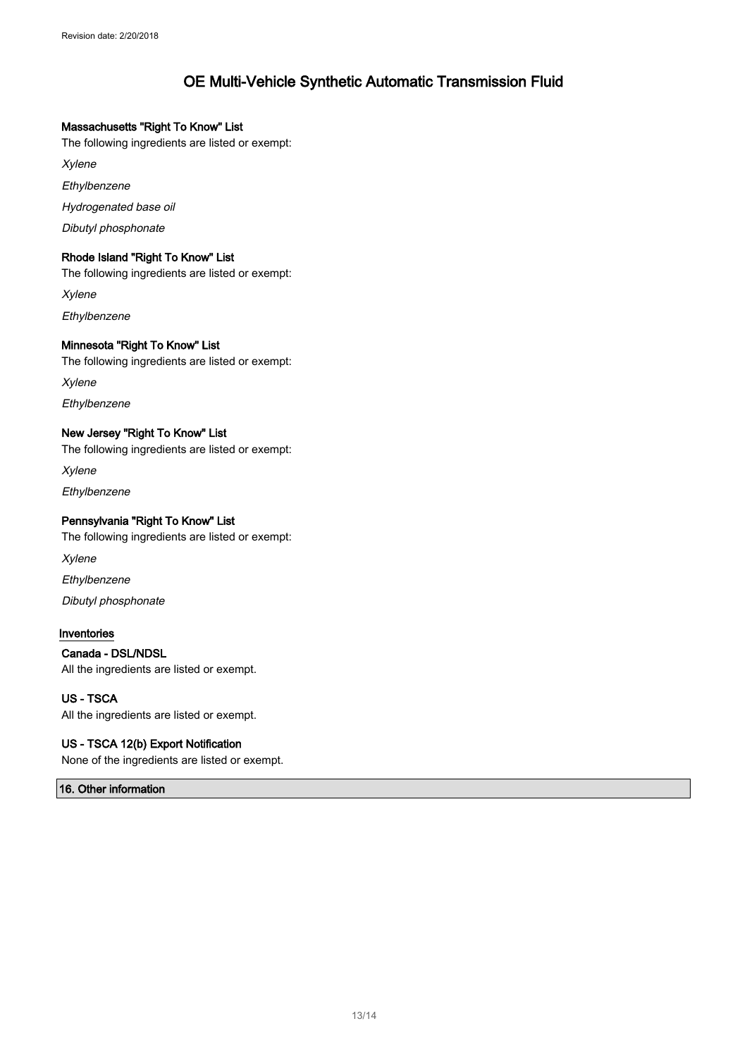#### Massachusetts "Right To Know" List

The following ingredients are listed or exempt:

Xylene

Ethylbenzene

Hydrogenated base oil

Dibutyl phosphonate

#### Rhode Island "Right To Know" List

The following ingredients are listed or exempt:

Xylene

**Ethylbenzene** 

#### Minnesota "Right To Know" List

The following ingredients are listed or exempt:

Xylene

Ethylbenzene

#### New Jersey "Right To Know" List

The following ingredients are listed or exempt:

Xylene

Ethylbenzene

#### Pennsylvania "Right To Know" List

The following ingredients are listed or exempt:

Xylene

**Ethylbenzene** 

Dibutyl phosphonate

#### Inventories

#### Canada - DSL/NDSL

All the ingredients are listed or exempt.

#### US - TSCA

All the ingredients are listed or exempt.

#### US - TSCA 12(b) Export Notification

None of the ingredients are listed or exempt.

### 16. Other information